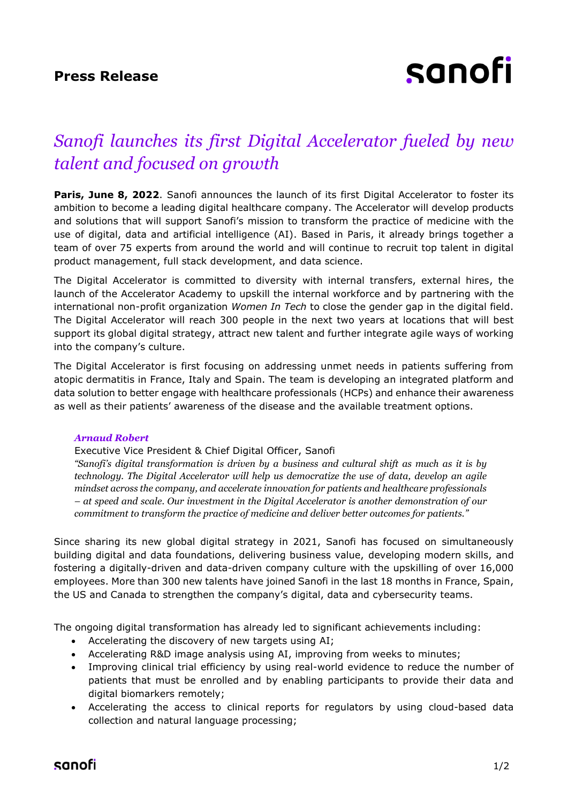# sanofi

## *Sanofi launches its first Digital Accelerator fueled by new talent and focused on growth*

**Paris, June 8, 2022**. Sanofi announces the launch of its first Digital Accelerator to foster its ambition to become a leading digital healthcare company. The Accelerator will develop products and solutions that will support Sanofi's mission to transform the practice of medicine with the use of digital, data and artificial intelligence (AI). Based in Paris, it already brings together a team of over 75 experts from around the world and will continue to recruit top talent in digital product management, full stack development, and data science.

The Digital Accelerator is committed to diversity with internal transfers, external hires, the launch of the Accelerator Academy to upskill the internal workforce and by partnering with the international non-profit organization *Women In Tech* to close the gender gap in the digital field. The Digital Accelerator will reach 300 people in the next two years at locations that will best support its global digital strategy, attract new talent and further integrate agile ways of working into the company's culture.

The Digital Accelerator is first focusing on addressing unmet needs in patients suffering from atopic dermatitis in France, Italy and Spain. The team is developing an integrated platform and data solution to better engage with healthcare professionals (HCPs) and enhance their awareness as well as their patients' awareness of the disease and the available treatment options.

## *Arnaud Robert*

## Executive Vice President & Chief Digital Officer, Sanofi

*"Sanofi's digital transformation is driven by a business and cultural shift as much as it is by technology. The Digital Accelerator will help us democratize the use of data, develop an agile mindset across the company, and accelerate innovation for patients and healthcare professionals – at speed and scale. Our investment in the Digital Accelerator is another demonstration of our commitment to transform the practice of medicine and deliver better outcomes for patients."*

Since sharing its new global digital strategy in 2021, Sanofi has focused on simultaneously building digital and data foundations, delivering business value, developing modern skills, and fostering a digitally-driven and data-driven company culture with the upskilling of over 16,000 employees. More than 300 new talents have joined Sanofi in the last 18 months in France, Spain, the US and Canada to strengthen the company's digital, data and cybersecurity teams.

The ongoing digital transformation has already led to significant achievements including:

- Accelerating the discovery of new targets using AI;
- Accelerating R&D image analysis using AI, improving from weeks to minutes;
- Improving clinical trial efficiency by using real-world evidence to reduce the number of patients that must be enrolled and by enabling participants to provide their data and digital biomarkers remotely;
- Accelerating the access to clinical reports for regulators by using cloud-based data collection and natural language processing;

## sanofi